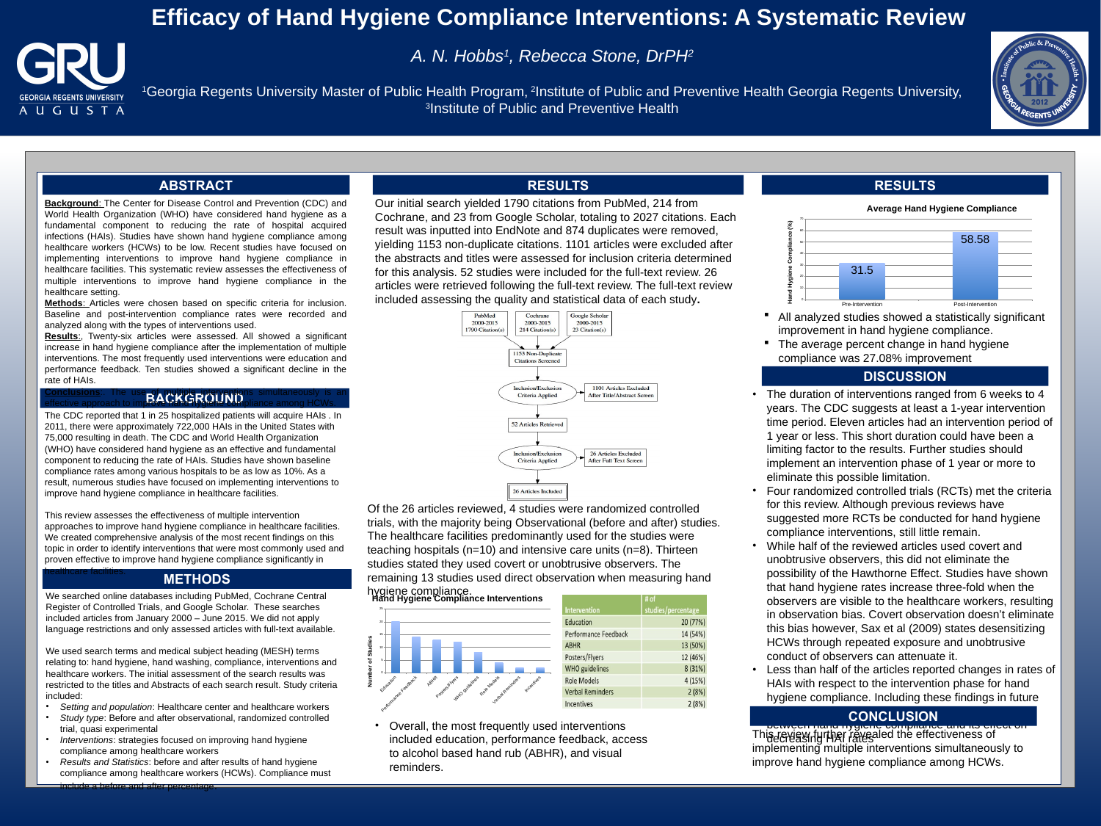# **Efficacy of Hand Hygiene Compliance Interventions: A Systematic Review**



# *A. N. Hobbs 1 , Rebecca Stone, DrPH<sup>2</sup>*

<sup>1</sup>Georgia Regents University Master of Public Health Program, <sup>2</sup>Institute of Public and Preventive Health Georgia Regents University, 3 Institute of Public and Preventive Health

### **BACKGROUND Conclusions**:. The use of multiple interventions simultaneously is an effective approach to improve hand hygiche compliance among HCWs.

### **METHODS**

### **RESULTS RESULTS**

## **DISCUSSION**

We searched online databases including PubMed, Cochrane Central Register of Controlled Trials, and Google Scholar. These searches included articles from January 2000 – June 2015. We did not apply language restrictions and only assessed articles with full-text available.

We used search terms and medical subject heading (MESH) terms relating to: hand hygiene, hand washing, compliance, interventions and healthcare workers. The initial assessment of the search results was restricted to the titles and Abstracts of each search result. Study criteria included:

• *Setting and population*: Healthcare center and healthcare workers

- *Study type*: Before and after observational, randomized controlled trial, quasi experimental
- *Interventions*: strategies focused on improving hand hygiene compliance among healthcare workers
- *Results and Statistics*: before and after results of hand hygiene compliance among healthcare workers (HCWs). Compliance must include a before and after percentage.

The CDC reported that 1 in 25 hospitalized patients will acquire HAIs . In 2011, there were approximately 722,000 HAIs in the United States with 75,000 resulting in death. The CDC and World Health Organization (WHO) have considered hand hygiene as an effective and fundamental component to reducing the rate of HAIs. Studies have shown baseline compliance rates among various hospitals to be as low as 10%. As a result, numerous studies have focused on implementing interventions to improve hand hygiene compliance in healthcare facilities.

Our initial search yielded 1790 citations from PubMed, 214 from Cochrane, and 23 from Google Scholar, totaling to 2027 citations. Each result was inputted into EndNote and 874 duplicates were removed, yielding 1153 non-duplicate citations. 1101 articles were excluded after the abstracts and titles were assessed for inclusion criteria determined for this analysis. 52 studies were included for the full-text review. 26 articles were retrieved following the full-text review. The full-text review included assessing the quality and statistical data of each study**.**



|                         | 58.58             |
|-------------------------|-------------------|
| 31.5                    |                   |
|                         |                   |
| <b>Pre-Intervention</b> | Post-Intervention |

 All analyzed studies showed a statistically significant improvement in hand hygiene compliance. **The average percent change in hand hygiene** compliance was 27.08% improvement

### studies would allow for any correlations to be seen to be seen to be seen to be seen to be seen to be seen to **CONCLUSION**

This review assesses the effectiveness of multiple intervention approaches to improve hand hygiene compliance in healthcare facilities. We created comprehensive analysis of the most recent findings on this topic in order to identify interventions that were most commonly used and proven effective to improve hand hygiene compliance significantly in

healthcare facilities.

**Background:** The Center for Disease Control and Prevention (CDC) and World Health Organization (WHO) have considered hand hygiene as a fundamental component to reducing the rate of hospital acquired infections (HAIs). Studies have shown hand hygiene compliance among healthcare workers (HCWs) to be low. Recent studies have focused on implementing interventions to improve hand hygiene compliance in healthcare facilities. This systematic review assesses the effectiveness of multiple interventions to improve hand hygiene compliance in the healthcare setting.

> Of the 26 articles reviewed, 4 studies were randomized controlled trials, with the majority being Observational (before and after) studies. The healthcare facilities predominantly used for the studies were teaching hospitals (n=10) and intensive care units (n=8). Thirteen studies stated they used covert or unobtrusive observers. The remaining 13 studies used direct observation when measuring hand hygiene compliance.

**Average Hand Hygiene Compliance**





• Overall, the most frequently used interventions included education, performance feedback, access to alcohol based hand rub (ABHR), and visual reminders.

|                      | # of               |
|----------------------|--------------------|
| ervention            | studies/percentage |
| ucation              | 20 (77%)           |
| rformance Feedback   | 14 (54%)           |
| <b>HR</b>            | 13 (50%)           |
| sters/Flyers         | 12 (46%)           |
| <b>HO</b> guidelines | 8 (31%)            |
| le Models            | 4 (15%)            |
| rbal Reminders       | 2(8%)              |
| entives              | 2(8%)              |

• The duration of interventions ranged from 6 weeks to 4 years. The CDC suggests at least a 1-year intervention time period. Eleven articles had an intervention period of 1 year or less. This short duration could have been a limiting factor to the results. Further studies should implement an intervention phase of 1 year or more to

- 
- 
- eliminate this possible limitation.
- 
- 
- 

• Four randomized controlled trials (RCTs) met the criteria for this review. Although previous reviews have

suggested more RCTs be conducted for hand hygiene compliance interventions, still little remain.

• While half of the reviewed articles used covert and unobtrusive observers, this did not eliminate the possibility of the Hawthorne Effect. Studies have shown that hand hygiene rates increase three-fold when the observers are visible to the healthcare workers, resulting in observation bias. Covert observation doesn't eliminate this bias however, Sax et al (2009) states desensitizing HCWs through repeated exposure and unobtrusive conduct of observers can attenuate it.

• Less than half of the articles reported changes in rates of HAIs with respect to the intervention phase for hand hygiene compliance. Including these findings in future

between hand hygiene compliance and its effect on decreasing HAI rates This review further revealed the effectiveness of implementing multiple interventions simultaneously to improve hand hygiene compliance among HCWs.



| <b>RESULTS</b> |  |
|----------------|--|
|                |  |

## **ABSTRACT**

**Methods**: Articles were chosen based on specific criteria for inclusion. Baseline and post-intervention compliance rates were recorded and analyzed along with the types of interventions used.

**Results**:, Twenty-six articles were assessed. All showed a significant increase in hand hygiene compliance after the implementation of multiple interventions. The most frequently used interventions were education and performance feedback. Ten studies showed a significant decline in the rate of HAIs.